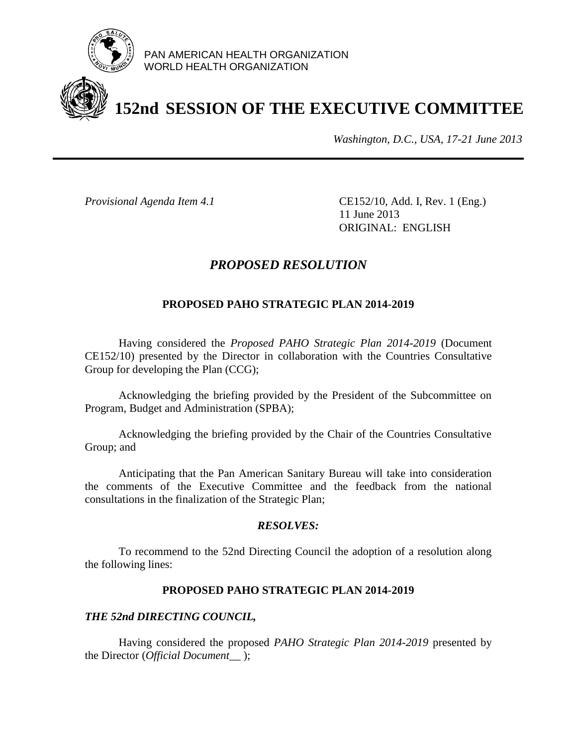

PAN AMERICAN HEALTH ORGANIZATION WORLD HEALTH ORGANIZATION

# **152nd SESSION OF THE EXECUTIVE COMMITTEE**

*Washington, D.C., USA, 17-21 June 2013*

*Provisional Agenda Item 4.1* CE152/10, Add. I, Rev. 1 (Eng.) 11 June 2013 ORIGINAL: ENGLISH

## *PROPOSED RESOLUTION*

### **PROPOSED PAHO STRATEGIC PLAN 2014-2019**

Having considered the *Proposed PAHO Strategic Plan 2014-2019* (Document CE152/10) presented by the Director in collaboration with the Countries Consultative Group for developing the Plan (CCG);

Acknowledging the briefing provided by the President of the Subcommittee on Program, Budget and Administration (SPBA);

Acknowledging the briefing provided by the Chair of the Countries Consultative Group; and

Anticipating that the Pan American Sanitary Bureau will take into consideration the comments of the Executive Committee and the feedback from the national consultations in the finalization of the Strategic Plan;

#### *RESOLVES:*

To recommend to the 52nd Directing Council the adoption of a resolution along the following lines:

#### **PROPOSED PAHO STRATEGIC PLAN 2014-2019**

#### *THE 52nd DIRECTING COUNCIL,*

Having considered the proposed *PAHO Strategic Plan 2014-2019* presented by the Director (*Official Document\_\_* );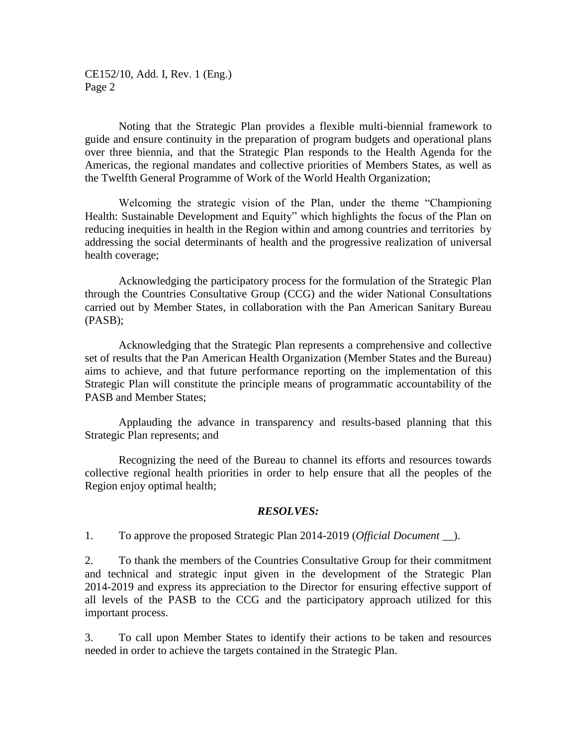CE152/10, Add. I, Rev. 1 (Eng.) Page 2

Noting that the Strategic Plan provides a flexible multi-biennial framework to guide and ensure continuity in the preparation of program budgets and operational plans over three biennia, and that the Strategic Plan responds to the Health Agenda for the Americas, the regional mandates and collective priorities of Members States, as well as the Twelfth General Programme of Work of the World Health Organization;

Welcoming the strategic vision of the Plan, under the theme "Championing Health: Sustainable Development and Equity" which highlights the focus of the Plan on reducing inequities in health in the Region within and among countries and territories by addressing the social determinants of health and the progressive realization of universal health coverage;

Acknowledging the participatory process for the formulation of the Strategic Plan through the Countries Consultative Group (CCG) and the wider National Consultations carried out by Member States, in collaboration with the Pan American Sanitary Bureau (PASB);

Acknowledging that the Strategic Plan represents a comprehensive and collective set of results that the Pan American Health Organization (Member States and the Bureau) aims to achieve, and that future performance reporting on the implementation of this Strategic Plan will constitute the principle means of programmatic accountability of the PASB and Member States;

Applauding the advance in transparency and results-based planning that this Strategic Plan represents; and

Recognizing the need of the Bureau to channel its efforts and resources towards collective regional health priorities in order to help ensure that all the peoples of the Region enjoy optimal health;

#### *RESOLVES:*

1. To approve the proposed Strategic Plan 2014-2019 (*Official Document \_\_*).

2. To thank the members of the Countries Consultative Group for their commitment and technical and strategic input given in the development of the Strategic Plan 2014-2019 and express its appreciation to the Director for ensuring effective support of all levels of the PASB to the CCG and the participatory approach utilized for this important process.

3. To call upon Member States to identify their actions to be taken and resources needed in order to achieve the targets contained in the Strategic Plan.